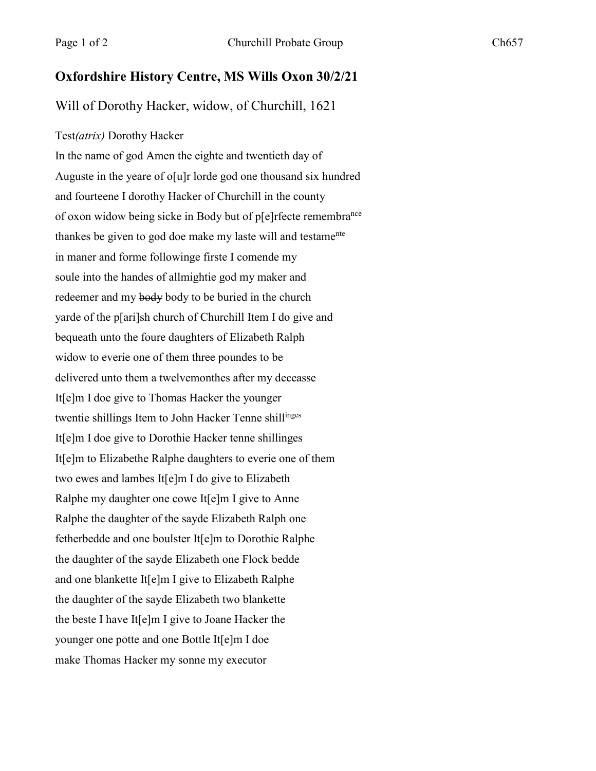## **Oxfordshire History Centre, MS Wills Oxon 30/2/21**

Will of Dorothy Hacker, widow, of Churchill, 1621

## Test*(atrix)* Dorothy Hacker

In the name of god Amen the eighte and twentieth day of Auguste in the yeare of o[u]r lorde god one thousand six hundred and fourteene I dorothy Hacker of Churchill in the county of oxon widow being sicke in Body but of p[e]rfecte remembra<sup>nce</sup> thankes be given to god doe make my laste will and testame<sup>nte</sup> in maner and forme followinge firste I comende my soule into the handes of allmightie god my maker and redeemer and my body body to be buried in the church yarde of the p[ari]sh church of Churchill Item I do give and bequeath unto the foure daughters of Elizabeth Ralph widow to everie one of them three poundes to be delivered unto them a twelvemonthes after my deceasse It[e]m I doe give to Thomas Hacker the younger twentie shillings Item to John Hacker Tenne shillinges It[e]m I doe give to Dorothie Hacker tenne shillinges It[e]m to Elizabethe Ralphe daughters to everie one of them two ewes and lambes It[e]m I do give to Elizabeth Ralphe my daughter one cowe It[e]m I give to Anne Ralphe the daughter of the sayde Elizabeth Ralph one fetherbedde and one boulster It[e]m to Dorothie Ralphe the daughter of the sayde Elizabeth one Flock bedde and one blankette It[e]m I give to Elizabeth Ralphe the daughter of the sayde Elizabeth two blankette the beste I have It[e]m I give to Joane Hacker the younger one potte and one Bottle It[e]m I doe make Thomas Hacker my sonne my executor